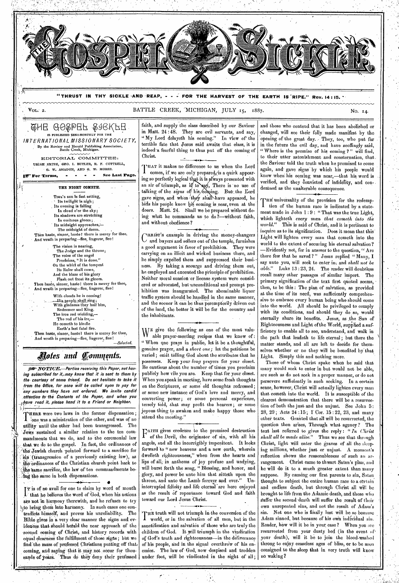

**"THRUST IN THY SICKLE AND REAP, - - - FOR THE HARVEST OF THE EARTH IS 'RIPE." Rev. 14 : 15.** 

 $V_{\text{OL}}$ . 2.

••••\*••••••-•

BATTLE CREEK, MICHIGAN, JULY 15, 1887.

<u>QHE GOSPER SJEKFE</u> tg PUBLISHED SEMI-MONTHLY FOR THE *INTERNATIONAL MISSIONARY SOCIETY,*  By the Review and Herald Publishing Association, Battle Creek, Michigan.

EDITORIAL COMMITTEE: URIAR SMITH, GEO. I. BUTLER, R. F. COTTRELL, G. W. AMADON, AND G. W. MORSE.

<sup>I</sup>**For Terms, - See Last Page.** 

THE NIGHT COMETH. TIME's sun is fast setting, Its twilight is nigh; . Its evening is falling In cloud o'er the sky.; Its shadows are stretching<br>In ominous gloom ; Its midnight approaches,-. The midnight of doom. Then haste, sinner, haste? there is mercy for thee. And wrath is preparing-flee, lingeror, flee! The vision is nearing, The Judge and the throne; The voice of the angel

- Proclaims, "It is done." On the whirl of the tempest
- Its Ruler shall come,
- And the blaze of his glory Flash out from its gloom.

Then haste, sinner, haste ! there is mercy for thee, And wrath is preparing—flee, lingerer, flee!

> With clouds he is coming! ; With gladness they hail' him, Redeemer and King. The iron rod wielding, The rod of his ire,— He cometh to kindle

Earth's last fatal fire. Then haste, sinner, hastel there is mercy for thee,

And wrath is preparing—flee, lingerer, flee! *—Selected.* 

# *oIeB and fornmcnts.*

*.NOTICE.—Parties receiving this Paper, not hav*ing subscribed for it, may know that it is sent to them by *the courtesy of some friend. Do not hesitate to take it from the Office, for none will be called upon to pay for any numbers they have not ordered. We invite candid attention. to•the Contents of the Paper, and when you ,,r .#1!e' read it, please hand it to a Friend or Neighbor.* 

THERE were two laws in the former dispensation; THERE were two laws in the former dispensation;<br>
I one was a ministration of the other, and was of no<br>
utility until the other had been transgressed. The one was a ministration of the other, and was of no Jows sustained a similar relation to the ten commandinents that we do, and to the ceremonial law that, we do to the gospel. In fact, the ordinances of rho Jewish church -pointed forward to a sacrifice for sin (transgression of a previously existing law), as the ordinances of the Christian church point back to the same sacrifice, the law of ten commandments being the same in both dispensations.

,

I that he believes the word of God, when his actions r• is of no avail-for one to claim by word of mouth are not in harmony therewith, and he refuses to try )-ito bring theiri into harmony. In such eases one con- 1' tradicts himself, and proves his unreliability. The Bible gives in a very clear manner the signs arid ev idences that should hefald the near approach of the second coming of Christ, and history records with equal clearness the fulfillment of those signs; but we find 'the mass of professed Christians putting off that, coming, and saying that it may not occur for thousands of years. Thus do they deny their professed •

faith, and supply the class described by our Saviour in Matt. 24:48. They are evil servants, and say, "My Lord delayeth his coming." In view of the terrible fate that Jesus said awaits that class, it is indeed-a fearful thing to thus put off the coming of Christ.  $\ddot{}$ 

THAT it makes no difference to us when the Lord<br>comes, if we are only prepared, is a quirk appearcomes, if we are only prepared is a quirk appearing so perfectly logical that it is always presented with an air of triumph, as if to say, There is no use of talking of the *signs* of his coming. But the Lord gave signs, and when they shall have appeared, he bids his people know bis coming is near, even at the doors. Matt. 24. Shall we be prepared without doing what he commands us to do ?—without faith, and without obedience?

C and buyers and sellers out of the temple, furnishes Iunist's example in driving the money-changers a good argument in favor of prohibition. They were carrying on an illicit and wicked business there, and he simply expelled them and suppressed their business. By taking a scourge and driving them out, he employed and executed the principle of prohibition. Neither moral suasion-or license system were considered or advocated, but unconditional and prompt prohibition was inaugurated. The abominable liquor traffic system should be handled in the same manner, and the sooner it can be thus peremptorily driven out of the land, the better it will be for the country and the inhabitants.

WE give the following as one of the most valuable prayer-meeting recipes that we know of : " When one prays in public, let it be a thoughtful, genuine prayer, and a *short one;* let the petitions be varied; omit telling God about the attributes that he possesses. Keep your *long* prayers for your closet. Be cautious about the number of times you proclaim publicly how vile you are. Keep that for your closet. When you speak in meeting, have some fresh thoughts on the Scriptures, or some old thoughts redressed ; or some *new* instance of God's love and mercy, and converting power; or some personal experience, tersely told, that may profit the hearers; or some joyous-thing to awaken and make happy those who attend the meeting."

**1 EXALTE THE TERM EXALTER** THE PROPERTY THE PLACE TERM **EXACTL** of the Devil, the originator of sin, with all his angels, and all the incorrigibly impenitent. It looks forward to "new heavens and a new earth, wherein dwelleth righteousness," when from the hearts and lips of all; in anthems of joy profuse and undying, will burst forth the song, " Blessing, and honor, and glory, and power be unto him that sitteth upon the throne, and unto the Lamb forever and ever." Uninterrupted felieity and life eternal are here enjoyed as the result of repentance toward God and faith toward our Lord Jesus Christ.

THE truth will not triumph in the conversion of the I world, or in the salvation of all men, but in the sanctification and salvation of those who are truly the children of God. It will triumph in the vindication of God's truth and righteousness—in the deliverance of his people, and in the signal overthrow of his enemies. The law of God, now despised and trodden under foot, will be vindicated in the sight of all;

and those who contend that it has been abolished or changed, will see their folly made manifest by the opening of the great day. - They, too, who put far in the future the evil day, and have scoffingly said, " Where is the promise of his coming ?" will find, to their utter astonishment and consternation, that, the Saviour told the truth when he promised to come again, and' gave signs by which his people would know when his coming was near,—that his word is verified, and they convicted of infidelity, and condemned as the unalterable consequence.

THE universality of the provision for the redemp-<br>I tion of the human race is indicated by a statetion of the human race is indicated by a statement made in John 1 : 9 : " That was the true Light, which lighteth *every* man *that cometh into the*  This is said of Christ, and it is pertinent to inquire as to its signification. Does it mean that this' Light ,will lighten every man that cometh into the world to the extent of securing his eternal salvation? —Evidently not, for in answer to the question, " Are there few that be saved ? " Jesus replied " Many, I say unto you, will seek to enter in; and *shall not be able."* Luke 13 : 23, 24. The reader will doubtless recall many other passages of similar iniport. The primary signification of the text first quoted seems, then, to be this : The plan of salvation, as provided at the time of its need, was sufficiently comprehensive to embrace every human being who should come into the world. All should be privileged to comply with its conditions, and should they do so, would eternally share its benefits. Jesus, as the Sun of Righteousness and Light of the World, supplied a sufficiency to enable all to see, understand, and' walk in the path that leadeth to life eternal ; but there the matter stands, and all are left to decide for themselves whether or no they will be benefited by that. Light. Simply this and nothing more.

Those of whom Christ spake when he said that many would seek to enter in but would not be able, are such as do not seek in a proper manner, or do not persevere sufficiently in such seeking. In a certain sense, however, Christ will actually lighten every man that cometh into the world. It is susceptible of the clearest demonstration that there will be a resurrection of both the just and the unjust. See John 5:  $28, 29$ ; Acts  $24:15$ ; T Cor.  $15:22, 23$ , and many other texts. Granted that all will be resurrected, the question then arises, Through what agency? The text last referred to gives the reply : " *In Christ shall all be made alive."* Thus we see that through Christ, light will enter the graves of all the sleeping millions, whether just or unjust. A moment's reflection shows the reasonableness of such an arrangement. Christ came to thwart Satan's plan, and he will do it to a much greater extent than many suppose. By causing our first parents to sin, Satan thought to subject the entire human race to a certain and endless death, but through Christ all will be brought to life from the Adamic death, and those who suffer the second death will suffer the result of their own unrepented sins, and not the result of Adam's sin. Not one who is finally lost will be so because Adam sinned, but because of his own individual sin. Reader, how will it be in your case? When you are resurrected from your dusty bed (in the event of your death), will it be to join the blood-washed throng to enjoy ceaseless ages of bliss, or to 'be soon consigned to the sleep that in very truth will know no waking ?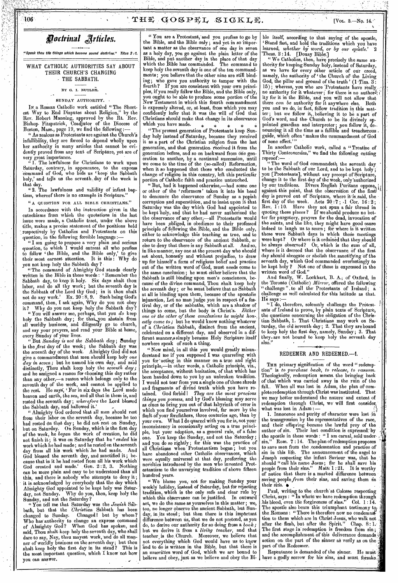$106$  (i.e.  $106$ )  $2^{10}$ ,  $3^{10}$   $4^{10}$   $5^{10}$   $5^{10}$   $5^{10}$   $5^{10}$   $5^{10}$   $5^{10}$   $5^{10}$   $5^{10}$   $5^{10}$   $5^{10}$   $5^{10}$   $5^{10}$   $5^{10}$   $5^{10}$   $5^{10}$   $5^{10}$   $5^{10}$   $5^{10}$   $5^{10}$   $5^{10}$   $5^{10}$   $5^{10}$ 



*"Speak thou tile things which become sound doctrine." Titus 2 :1.* 

WHAT CATHOLIC AUTHORITIES SAY ABOUT THEIR CHURCH'S CHANGING - THE SABBATH.

### BY G. I. BUTLER.

#### SUNDAY AUTHORITY.

IN a Roman Catholic work entitled " The Shortest Way to End Disputes about Religion," by the Rev. Robert Manning, approved by the Rt. Rev. Bishop- Fitzpatrick, Coadjutor of the Diocese of Boston, Mass., page 19, we find the following

As zealous as  $\operatorname{Protestants}$  are against the Church's infallibility, they are forced to depend wholly upon her authority in many articles that cannot be evidently proved from any text of Scripture, yet are of very great importance.

" 1. The lawfulness for Christians to work upon Saturday, contrary, in appearance, to the express command of God, who bids us 'keep' the Sabbath holy,' and tells us the seventh day of the week is that day.

" 2. The lawfulness and validity of infant baptism, whereof there is no example in Scripture.

"A QUESTION FOR ALL BIBLE CHRISTIANS."

In accordance with the instruction given in the catechisms from which the quotations in the last issue were made, a Catholic tract, under the above title, makes a precise statement of the positions held respectively by Catholics and Protestants on this question, in the following forcible language

" I am going to propose a very plain and serious question, to which I would entreat all who profess to follow the Bible, and the Bible only,' to give their most earnest attention. It is this : Why do you not keep holy the Sabbath day ?

" The command of Almighty God stands clearly written in the Bible in these words : 'Remember the Sabbath day, to keep 'it holy. Six days shalt thou labor, and do all thy work; but the seventh day is the Sabbath of the Lord thy God; in it thou shalt not do any work.' Ex. 20 : 8, 9. Such being God's command, then, I ask again, Why do you not obey it? Why do you not keep holy the Sabbath day?

"You will answer me, perhaps, that you *do* keep holy the Sabbath day; for thatsy.ou abstain from all worldly business, and diligently go to church, and say your prayers, and read your Bible at home, every Sunday of your lives. "But *Sunday is not the Sabbath day;* Sunday

is the *first* day of the week; the Sabbath day was the *seventh* day of the week. Almighty God did not give a commandment that men should keep holy *one day in seven;* but he named his own day, and said distinctly, Thou shalt keep holy the *seventh day;*  and he assigned a reason for choosing this day rather than any other,—a reason which belongs only to the seventh day of the week, and cannot be applied to the rest. He says; ' For in six days the Lord made heaven and earth, the sea, and all that in them is, and rested the seventh day ; *wherefore* the Lord blessed the Sabbath day, and hallowed it.'

" Almighty God ordered that all men should rest from their labor on the seventh day, because he too had rested on that day; he did not rest on Sunday, but on Saturday. On Sunday, which is the first day of the week, he *began* the work of creation, he did not finish it; it was on Saturday that he *ended* his work which he had made; and he rested on the seventh day from all his work which he had made. And God blessed the seventh day, and sanctified it; because that in it he had rested from all his work which God created and made.' Gen. 2:2, 3. Nothing can be more plain and easy to be understood than' all this, and there is nobody who attempts to deny it; it is. acknowledged by everybody that the day which Almighty God appointed to be kept holy was Satur-Why do you, then, keep holy the day, not Sunday. Why do you

" You tell me that Saturday *was* the *Jewish* Sabbath, but that the *Christian* Sabbath has been Changed! but by whom? Who has' authority to change an express command of Almighty God? When God has spoken, and said, Thou shalt keep holy the seventh day, who shall dare to say, Nay, thou mayest work, 'and do all manner of worldly business on the seventh day; but thou shalt keep holy the first day in its stead? .This is the most important question, which I know not how you can answer.

" You are a Protestant, and you profess to go by the Bible, and the Bible only ; and yet in so important a matter as the observance of one day in seven as a holy day, you go against the plain letter of the Bible, and put another day in the place of that day which the Bible has commanded. The command to keep holy the seventh day is one of the ten commandments ; you believe that the other nine are still binding; who gave you authority to tamper with the fourth ? If you are consistent with your own principles, if you really follow the Bible, and the Bible only, you ought to be able to produce some portion of the New Testament in which this fourth commandment is expressly altered, or, at least, from which you may confidently infer that it was the will of God that Christians should make that change in its observance which you have made.

" The present generation of Protestants keep Sunday holy instead of Saturday, because they received it as a part of the Christian religion from the last generation, and that generation. received it from the generation before, and so on backward from one generation to another, by a continual succession, until we come to the time of the (so-called) Reformation, when it so happened that those who conducted the change of religion in this country, left this particular portion of Catholic faith and practice untouched.

" But, had it happened otherwise,—had some one or other of the 'reformers' taken it into his head to denounce the observance of Sunday as a popish corruption and superstition, and to insist upon it that Saturday was the day which God had appointed to be kept holy, and that he had never authorized the the observance of any other,—all Protestants would have been \_obliged, in obedience to their professed principle of following the. Bible, and the Bible only, either to acknowledge this teaching as true, and to return to the observance of the ancient Sabbath, or else to deny that there is any Sabbath at all. And so, in like manner, any one at the present day who should set about, honestly and without prejudice, to draw up for himself a form of religious belief and practice out of the written word of God, must needs come to the same conclusion ; he must either believe that the Sabbath is still binding upon men's consciences, because of the divine command, Thou shalt keep holy the seventh day ; or he must believe that no Sabbath at all is binding upon them, because of the apostolic injunction, Let no man judge you in respect of a festival day, or of the sabbaths, which are a shadow of things to come, but the body is Christ's. *Either one or the other of these conclusions he might hon-*, *estly come to;* but he would know nothing whatever of a *Christian* Sabbath, distinct from the ancient, celebrated on a different day, and observed in a different manner,s simply because Holy Scripture itself nowhere speak of such a thing.

" Now mind, 'in all this you would greatly misunderstand me if you supposed I was quarreling with you for acting in this manner on a true and right principle,—in other words, a Catholic principle, viz., the acceptance, without hesitation, of that which has been handed down to you by an unbroken tradition. I would not tear from you a single one of those shreds and fragments of divind truth which you have retained. God forbid *1 They are the most precious things you possess,* and by God's blessing may serve as clues to bring you out of that labyrinth of error in which you find yourselves involved, far more by the fault of your forefathers, three centuries ago, than by What I do quarrel with you for is, not your inconsistency in occasionally acting on a true principle, but your adoption, as a general rule, of a false one. You keep the Sunday, and not the Saturday ; and you do so rightly ; for this was the practice of all Christians when Protestantism began ; but you have abandoned other Catholic observances, which were equally universal at that day, preferring the novelties introduced by the men who invented Protestantism to the unvarying tradition of above fifteen hundred years.

" We blame you, not for making Sunday your weekly' holiday, instead of Saturday, but for rejecting tradition, which is the only safe and clear rule by which this observance can be justified. In outward act, we do the same as yourselves in this matter ; we, too, no longer observe the ancient Sabbath, but Sunday, in its stead; but then there is this important difference between us, that we do not pretend, as you do, to derive our authority for so doing from a boo but we derive it from a *living teacher,* and that teacher, is the. Church. Moreover, we believe that not everything which God would have us to know and to do is written in the Bible, but that there is an *unwritten* word of, God, which we are bound to believe and obey, just as we believe and obey the Bi-

ble itself, according to that saying of the apostle, Stand fast, and hold the traditions which you have learned, *whether by word, or by our epistle.'* '2 'Thess. 2 :14. [Douay

" We Catholics, then, have precisely the same authority for keeping Sunday holy, instead of Saturday, as we have for every other article of our creed, namely, the authority of 'the Church of the Living God, the pillar and ground of the truth' (1 Tim. 3:  $15)$  ; whereas, you who are Protestants have really . -no authority for it whatever; for there is no author<sup>1</sup> ity for it in the Bible, and you will not allow that there *can be* authority for it anywhere else, Both you and we do, in fact, follow tradition in this matter ; but *we* follow it,, believing it to be a part of God's word, and tha Church to be its divinely appointed guardian and interpreter ; you follow it, de-. pouncing it all the time as a fallible and treacherous , guide, which often 'makes the commandment of God of none effect.'

In another Catholic work, called a " Treatise of Thirty Controversies," we find the following cutting reproof:—

" The word of God commandeth the seventh day to be the Sabbath of our Lord, and to be kept holy; you [Protestants], without any precept of Scripture, change it. to the first day of the week, only'authorized by our traditions. Divers English Puritans oppose, against this point, that the observation of the first! day is proved out of Scripture, where it is said, the first day of the week. Acts  $20:7$  ;  $\cdot 1$  Cor.  $16:2$  ; Rev. 1 : 10. Have they not spun a fair thread in quoting these places ? If we should produce no bet er for purgatory, prayers for the dead, invocation of the saints, and the like, they might have good cause indeed to laugh us to scorn ; for where is it written these were Sabbath days in which those meetings were kept? Or where is it ordained that they should be always observed? Or, which is the sum of all, where is it decreed that the observance of the first day should abrogate or abolish the sanctifying of the seventh day, which God commanded everlastingly to be kept holy ? Not one of those is expressed in the written word of God."

And finally, W. Lockhart, B. A.; of Oxford, in the Toronto (Catholic) *Mirror,* offered the following " challenge" to all the Protestants of Ireland; a challenge as well calculated for this latitude as that. He says :—

" I do, therefore, solemnly challenge the Protestants of Ireland to prove, by plain texts of Scripture, the questions concerning the obligation of the Christian Sabbath, 1. That Christians may work on Saturday, the old Seventh day; 2. That they are bound to keep holy the first day, namely, Sunday ; 3. That they. are not bound to keep holy the seventh day also.

### REDEEMER AND REDEEMED.—I.

THE primary signification of the word "redemption" is *to purchase back, to release, to ransom.*  Theologically, redemption means, the bringing back of that which was carried away in the ruin of the When all was lost in Adam, the plan of complete redemption through Christ was instituted. That we may better understand the nature' and extent of redemption through Christ, we' will first consider what was lost in Adam : —

1. Innocence and purity of character were lost in the transgression by the representatives of the race, and their offspring 'became the lawful prey of the author of sin. Their lost condition is expressed: by the apostle in these words : " I am carnal, sold under-<br>sin." Rom.  $7:14$ . The plan of redemption proposes Rom. 7:14. The plan of redemption proposes to save men from the ,condemnation and practice of sin in this life. The announcement of the angel to' Joseph respecting the infant Saviour was, that he should " call his name Jesus ; for he shall save his people from their sins." Matt: 1:21. It is worthy of notice that there is a marked difference between saving people *from* their sins, and saving them *in* their sins.

Paul, writing to the church at Colosse respecting Christ, says : " In whom we have redemption through his blood, even the forgiveness of sins." Col.  $1:14$ . The apostle also bears this triumphant testimony to the.Romans : "There is therefore now no condemns tion to them which are in Christ Jesus, who walk not after the. flesh, but after the Spirit." Chap. 8: 1.' The first stage in redemption is freedom from sin; and the accomplishment of this deliverance demands action on the part of the sinner as verily as on the part of the Redeemer.

Repentance is demanded of the sinner. He must have a godly sorrow for his sins, and must forsake.

fi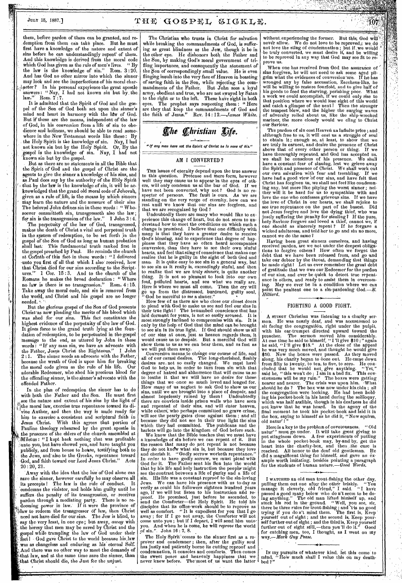#### JULY 15, 1887.1

THE GOSPEL SIGKLE.

them, before pardon of them can be granted, and re demption from them can take place. first have a knowledge of the nature and extent of sins before he can understandingly repent' of them. sins before no can understanding  $J = \frac{1}{2}$ .<br>And this knowledge is derived from the moral code which God has given as the rule of men's lives. "By<br>the law is the knowledge of sin." Rom. 3:20. the law is the knowledge of sin." And has God no other mirror into which the sinner may look and see the imperfections of his moral char-  $\lambda$  acter? In his personal experience the great apostle answers : " Nay, I had not known sin but by. the. law."' Rom. 7 :7.

It is admitted that the Spirit of God and the gospel of the Son of God both act upon the sinner's mind and heart in harmony with the law of God. But if these are the means, independent of the law of God, in his conversion from a life of sin to obedience and holiness, we should be able to read some-<br>where in the New Testament words like these: By where in the New 'Testament words like these : By . the Holy Spirit is the knowledge of sin. Nay, I had not known sin but by the Holy Spirit. Or, By the gospel is the knowledge of sin. Nay, I had not nown sin but by the gospel.

. But as there are no statements in all the Bible that the Spirit of God and the gospel of Christ are the agents to give the sinner a knowledge of his sins, and as Paul does say by the authority of the Hbly Spirit  $\rightarrow$  that by the law is the knowledge of sin, it will be acknowledged that the grand old moral code of Jehovah, given as a rule of-life, is the means by which sinners may learn the nature and the measure of their sins The beloved John defines sin in these words : " Whosoever committeth sin, transgresseth also the law; for sin is the transgression of the law." 1 John 3 :4. The perpetuity of the law of God, transgressed, makes the death of Christ a vital and perpetual truth in the system of redemption, to be set forth ,in the pel of the Son of God as long as human probation shall last: This fundamental truth ranked first in the gospel preached by Paul. He reminds the church at Corinth of this fact in these words : "I delivered -unto you first of all that which I also' received, how that Christ died for our sins according to the Scriptures."-1 Cor. 15 : 3. And to the church of the Romans he makes the broad declaration : " Where no law is there is no transgression." Rom. 4:15. ' Take away the moral code, and sin is removed *from*  the world, and Christ and his gospel are no longer

needed. But the glorious gospel of the Son of God presents Christ-as now pleading the merits of his blood which was shed for our sins. This fact constitutes the highest evidence of the perpetuity of the law of God. It gives force to the grand truth lying at the foundation of redemption, to be perpetuated in the gospel Message to the end, as uttered by John in these words: "If any man sin, we have an advocate with the Father, Jesus Christ the Righteous.' The sinner needs an advocate with the Father, because the wrath of God is upon him for breaking the moral code given as the rule of his life. Our adorable Redeemer, who shed his precious blood for the offending sinner, is the sinner's advocate with the offended Father.

In the plan of redemption the sinner has to do with both the Father and the Son. He must first see the nature and extent of his sins by the light of the moral law, exercise true repentance toward its divine Autbor, and then the way is made ready for him to exercise a consistent and scriptural faith in Jesus Christ. With this agrees that portion of Pauline theology rehearsed by the great apostle in the presence of the elders of the church assembled at Miletus : "I kept back nothing that was profitable iunto you, but have showed you, and have taught you publicly, and from house to house, testifying both to the Jews, and'also to the Greeks, repentance toward God, and-faith toward our Lord Jesus Christ." Acts  $20:20, 21.$ 

'Away with the idea that the law of God alone can save the sinner, however carefully he may observe. all its precepts I The law is the rule of conduct. It - condemns the violator, and holds him guilty until he suffers the penalty of its transgression, or receives pardon through a mediating party. There is no redeeming power in law. If it were the province of law to redeem the transgressor of law, then Christ need not have died for our sins. The Jew is blind, to *say* the,very least, in one eye; but away, *away* with the heresy that men may be saved by Christ and the • gospel while trampling the law of God under their feet I - God gave Christ to the world because his, law was as changeless and enduring as his eternal Self. And there was no other way to meet the demands of that law, and at the same time save the sinner, than that Christ should die, the Just for the unjust.

The Christian who trusts in Christ for salvation while breaking the commandments of God, is suffering as great blindness as the Jew, though it be in the other eye. He dishonors both the Father and the Son, by making,God's moral government of trifling importance, and consequently the atonement of the Son of correspondingly small value. He is even flinging insult into the very face of Heaven in boasting of Saving faith in the Son, while rejecting the commandments of the Father. But John sees a loyal army, obedient and true, who are not swayed by Satan to the right or to the left. These have sight in both eyes. The prophet says respecting them : " Here are they that keep the commandments of God and the faith of Jesus." Rev. 14: *12.—James White.* 

# **The Christian Life.**

"If any man have not the Spirit of Christ he is none of his."

#### AM I CONVERTED ?

THE issues of eternity depend upon the true answer<br>to this question. Pretense and mere form, however to this question. Pretense and mere form, however well they may cause us to appear *in* the eyes of oth-ers, will only condemn us at the bar of God. If we have not been converted, why not ? God is no respecter of persons. The fault is ours. As we are standing on the very verge of eternity, how can we rest until we know that our sins are forgiven, and that we are recognized by God ?

Undoubtedly there are many who would like to experience this change of heart, but do not seem to understand how to meet the conditions on which such a change is promised. I believe that one difficulty with many is that they have a greater desire to receive God'S blessing, and to experience that degree of hap-piness that they have so often heard accompanies conversion, than they have to see their own sinful hearts, and feel that sting of conscience that makes one<br>realize that he is guilty in the sight of both God and man. It is quite easy to see sin in a general way, but to see sin as it really is, exceedingly sinful, and then to realize that we are truly *sinners,* is quite another thing. It is not so pleasant to look into our own foul, polluted hearts, and see what we really are. Here is where we must all come. Then the cry will go up from the distressed, burdened, guilty soul,

<sup>7</sup> God be merciful to *me* a sinner."<br>How few of us there are who close our closet doors to plead with God to make us see and feel our sins in 'their true light I The benumbed conscience that has laid dormant for years, is not so easily, aroused. It is most strongly inclined to compromise with sin. It is only by the help of God that the mind can be brought to see sin in its true light. If God should show us all of our sins at once, just as heaven regards them, it would cause us to despair. But a merciful God will show them to us as we can bear them, and as fast as we will put them away.

.Conversion means to change our course of life, and all of our carnal desires. The long-cherished, fleshly desires are. not so easily changed. We ingst have God to help us, in order to turn from sin with that degree of hatred and abhorrence that will cause us so to loathe it that we will have no desire for those things that we once so much loved and longed for. How many of us neglect to ask God to show us our sins, until we are brought into a place of despair, and almost hopelessly ruined by them ! Undoubtedly there are convicts inside prison walls who have seen and repented of their sins, and will enter heaven, while others.; who perhaps committed no grave crime, will see the pearly gates close against them ; and all because they did not see in their true light the sins which they had committed. The publicans and the harlots will go into the kingdom of God before such.

We know that the Bible teaches that we must have a knowledge of sin before we can repent of it. But the reason that many do not repent is not because they do not know what sin is, but because they love and cherish it. ''Godly sorrow worketh repentance.'' In order to have godly sorrow, we must plead with God for it. The Father sent his Son into the world that by his life and holy instruction the people-might *see* the-contrast between a life of purity and a life of sin. His life was a constant reproof to the sin-loving Jews. We can have his presence with us to-day as verily as could his followers eighteen hundred years ago, if we will but listen to his instruction and reago, if we will but listen to his instruction and re= prodf. He promised, just before he ascended, to send the Comforter—the Holy Spirit. He told his disciples that its office-work should be to reprove as well as comfort. "It is expedient for you that I go away ; for if I go not away, the Comforter will not come unto you ; but if I depart, I will send him unto. you. And when he is come, he will *reprove* the World of sin.". John 16 : 7, 8.

The Holy Spirit' comes to the sinner first as a reproVer and condemner ; then, after the guilty soul has justly and patiently borne its cutting reproof and condemnation, it consoles and comforts.. Then comes the sweet peace and heavenly happiness that we, never knew before. The-most of, us want the latter

without-experiencing the former. But this; God never allow. We do not love to be reproved; we do not love the sting of condemnation; but if, we would be truly converted, we must desire it, and be willing to be reproved in any way that God may see fit to reprove us.

**AN AN AN AN AN AN AN AN** 

107

. When one has received from God the assurance of sins forgiven, be will not need to ask some aged pil- , grim what the evidences of conversion are. If he has grim what the evidences of conversion are. If he has wronged any by false accusation, Zaccheus-like, he will be willing to restore fourfold, and to give half of his goods to feed the starving, perishing poor. What a work we could accomplish, if we could only rise to that position where we would lose sight of this world and catch a glimpse of the next! Then the stronger the tempest blew, and the higher the surging waves of adversity rolled about us, like the ship-wrecked mariner, the more closely would we cling to Christ our Saviour.

The pardon of sin cost Heaven an infinite price ; and although free to us, it will cost us a straggle of soul to obtain it ; enough so, at least, to show that we are truly in earnest, and desire the presence of Christ above that of every other person or thing. If we have thoroughly repented, and God has accepted us, we shall be conscious of his presence. We shall have a constant fear of sinning, lest we grieve away the Spirit and presence of Christ. We shall work out the Spirit and presence of Christ. We shall work out our own salvation with fear and trembling. If we have had a good view of our sins, and have felt that Christ has forgiven us, we shall not feel like condemning any, but more like pitying the worst sinner ; nei-ther will it be hard for us to sympathize with and love the one who confesses grievous sins. If we have the love of Christ in our hearts, we shall rejoice to see true repentance on the part of the basest. Did not Jesus forgive and love the dying thief, who was justly suffering the penalty for stealing? If the pure, holy Saviour forgave and loved a thief, cannot we, if one should as sincerely repent ? If he forgave a wicked adulteress, and told her to go and sin no more, cannot we do the same?

Having been great sinners ourselves, and having received pardon, are we not under the deepest obliga-tions to forgive others ? How often we forget the debt that we have been released from, and go and take our debtor by the throat, demanding that things be made right I Let us ever remember the great debt of gratitude that we owe our Redeemer for the pardon of our sins, and ever be quick to detect true repentance in others, and ready to assist them in overcoming. May we ever be in a condition where we *can*  point the penitent one to a sin-pardoning God. $-\cancel{E}$ . *Hilliard.* 

#### FIGHTING A GOOD FIGHT.

A STINGY Christian was listening to a charity sermon. He was nearly deaf, and was accustomed to sit facing the congregation, right under the pulpit, with his car-trumpet directed upward toward the with his ear-trumpet directed upward toward the preacher. The sermon moved him considerably. At one time he said to himself, " I'll give \$10 ; " again he said, "I'll give \$15." At the close of the appeal he was very much moved, and thought he would give \$50. Now the boxes were passed. As they moved along, his charity began to óoze out. He came down from fifty to twenty, to ten, to five, to zero. He con-cluded that he would not, give anything. "Yet," said he, "this won't do ;  $\overline{\text{I am}}$  in a bad fix. This covetousness will be my ruin." The boxes were getting nearer and nearer. The crisis was upon him. What nearer and nearer. The crisis was upon him. What should he do? The box was now under his chin; all the congregation were looking. He had been holding his pocket-book in his hand during the soliloquy, which was half audible, though in his deafness he (lid not know that he was heard. In the agony of the final moment he took his pocket-book and laid it in the box, saying to himself as he did it, "Now squirm, old natur' I '

Here is a key to the problem of covetousness. " Old natur'" must go under. It will take great giving to put stinginess down. A few experiments of putting in the whole pocket-book may, by-and by, get the heart into the charity-box, and then the cure is reached. All honor to the deaf old gentleman. He did a magnificent thing for himself, and gave an example worth imitating, besides pointing a paragraph for the students of human nature.—Good *Wards.* 

I WATCHED an old man trout-fishing the other day, pulling them out one after the other briskly, "You manage it cleverly, old friend," I said. "I have passed a good many below who do n't seem to be do-ing anything." The old man lifted hiniself up, and stuck his rod in the- ground. "Well, you see, sir, there be three rules for trout-fishing ; and 't-is no good trying if you don't mind them. The first is, Keep' yourself out of sight ; and the second is, Keep yourself further out of sight ; and the third is, Keep yourself . further out of sight still,—then you'll do it." Good for catching men, too, I thought, as I went on my way.—Mark *Guy Pease.* 

In my pursuits of whatever kind, let this come to mind, "How much shall I value this on my death $mInd,$ bed ?"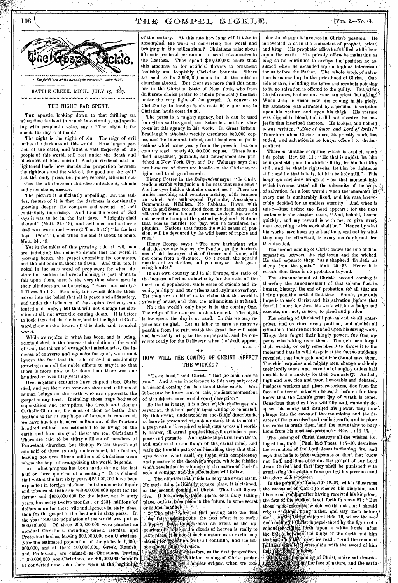

BATTLE CREEK, MICH., JULY 15, 1887.

#### .<br>Parkerkussanerkoksen en elistet eta esen elisteta en en elisteta en elisteta hundan elisteta en elisteta en el

#### THE NIGHT FAR SPENT.

THE apostle, looking down to that thrilling era wheu time is about to vanish into eternity, and speaking with prophetic voice, says : "The night is far spent, the day is at hand."

The night is the uight of siu. The reign of evil makes the darkness of this world. How large a portion of the earth, and what a vast majority of the people of this world, still rest under the death and blackness of heathenism I And in civilized and enlightened lands how stands the proportion between the righteous and the wicked, the good and the evil ? Let the daily press, the police records, criminal statistics: the ratio between churches and saloons, schools and grog-shops, answer.

The picture is sufficiently appalling; but the saddest feature of it is that the darkness is continually growing deeper, the compass and strength of evil continually increasing. And thus the word of God says it was to be in the last days. "Iniquity shall abound" (Matt. 24 : 12), and evil men and seducers shall wax worse and worse (2 Tim. 3:13) "in the last days " (verse 1), and when the end is about to come. Matt. 24 : 13.

Yet in the midst of this growing tide of evil, men are indulging the delusive dream that the world is growing better, the gospel extending its conquests, and the millennium,about to dawn. And this, too, is noted in the sure word of prophecy; for when destruction, sudden and overwhelming, is just about to fall upon them, then is the very time when men in their blindness are to be crying, "Peace and safety." 1 Thess. 5 : 1-3. Men may for awhile delude themselves into the belief that all is peace and all is safety, and under the influence of that opiate feel very contented and happy ; but that will not change the situation at all, nor avert the coming doom. It is better to look facts full in the face, and let the light of God's word show us the future of. this dark and troubled

world.<br>While we rejoice in what has been, and is being, accomplished, in the increased circulation of the word of God, the labors of evangelical missionaries, the increase of. converts and agencies for good, we cannot ignore the fact, that the tide of evil is continually growing upon all the noble efforts to stay it, so that there is more now to be done than there was one bundred or even fifty years ago.

Over eighteen centuries have elapsed since Christ died, and yet there are over one thousand millions of human beings on the earth who are opposed to the gospel in any form. Including those huge • bodies of superstition and corruption, the Greek and Roman Catholic Churches, the most of them no better than heathen so far as any hope of heaven is concerned, we have but four hundred million out of the fourteen hundred million now estimated to be living on the earth, and how many of these' are real Christians ? There are said to be thirty millions of members of Protestant churches, but Bishop Foster throws out one half of, these as only undeveloped, idle factors, leaving not over fifteen millions of Christians upon whom the hope of evangelizing the world depends.

And what progress has been made during the last half or three quarters of a century? It is claimed that within the last sixty years \$25,000,000 have been expended in foreign missions; but the shameful liquor and tobacco statistics show.\$900,000,000 spent for the former and \$650,000,000 for the latter, not in sixty years, but every twelve months ; or 2331 millions of dollars more for these vile indulgences in sixty *days,*  than for the gospel to the heatheu in sixty *years*. the year 1800 the population of the world was put at 800,000,000. Of these 200,000,000 were claimed 'as nominal Christians, including Greek,. Romish, and Protestant bodies, leaving-600,000,000 non-Christians. Now the estimated population of the globe is- 1,400,- 000,000, and of these 400,000,000, Greek, -Romish, and Protestant, are claimed as Christians, leaving. 1,000,000,000 non-Christians, or 400,000,000 more to be converted now than there were at the beginning

of the century. At this rate how long will it take to accomplish the work of converting the world and bringing in the millennium ? Christians raise about 50 cents per head per annum to send missionaries to the heathen. They spend \$10,000,000 more than this amounts to for artificial flowers to ornament<br>foolishly and foppishly Christian bonnets. There foolishly and foppishly Christian bonnets. are said to be- 2,600,000 souls in all the mission churches abroad. But there are more than this number in the Christian State of New York, who from deliberate choice prefer to remain practically heathen under the very light of the gospel. A convert to Christianity in foreign lands costs 90 ceuts; one in

Christian lands costs \$6.30. The press is a mighty agency, but it can be used for evil as well as good, and Satan has not been slow to-enlist this agency in his work. In Great Britain, Bradlaugh's atheistic weekly circulates 250,000 copies, and the immoral, infidel, and blasphemous publications which come yearly from the press in, that one country reach nearly 40,000,000 copies. Three hundred magazines, journals, and newspapers are published in New York City, and Dr. Talmage says that two hundred of them are hostile to the Christian religion and to all good morals.

Bishop Foster in the *Independent* says : " Is Christendom struck with judicial blindness that she sleeps ?<br>Are her eves holden that she cannot see ? There are Are her eyes holden that she cannot see? armies marching and countermarching with banners on which are emblazoned Dynamite, Anarchism, Communism, Nihilism, No Sabbath, 'Down with Church and State, recruited from the dram shop and officered from the kennel. Are we so deaf that we do not hear the tramp of the gathering legions? Nations that license murder for pay, will be murdered for plunder. Nations that fatten the wild beasts of, passion, will be devoured by the wild beast of rapine and ruin."

Henry George says : "The new batbarians who shall destroy our moderu civilization, as the barbarians of old destroyed that of Greece and Rome, will not come from a distance. Go through the squalid quarters of great cities, and you may see their gathering hordes.

In our own country and in all Europe, the ratio of the increase of crime outstrips by far the ratio of the increase of population, while cases of suicide and insanity multiply, and our prisous and asylums overflow Yet men are so blind as to claim that the world is growing' better, and that the millennium is at hand.

No ; the world's only hope is in the coming One. The reign of the usurper is about ended. The night is far spent, the day is at hand. In 'this we may rejoice and be glad. Let us labor to save as' many as possible from the ruin which the great day will soon and inevitably bring to the unprepared, and be ourselves ready for the Deliverer when he 'shall appear. U. 8.

## HOW WILL THE COMING OF CHRIST-AFFECT THE WICKED?

"TAKE heed," said Christ, "that, no man; deceive you." And it was in reference to this very subject of his second coming that he uttered these words. Was it because he knew that on this, the most momentous of all subjects, men would court deception?

Be that as it may, it is a fact which challenges observation, that here people seem willing to be misled. By this event, understood as the Bible' describes it, au issue is presented of such a nature that to meet it a preparation is required' which cuts across all worldly desires, all carnal propensities, all earth-born pur poses and pursuits. And rather than turn from these, and endure the crucifixion of the carnal mind; and walk the humble path of self-sacrifice, they shut their eyes to the event itself, or listen with complacency and pleasure to the decelver's words, while he falsifies God's revelation in reference to the nature of Christ's second coming, and the effects that will follow.

1. The effort is first made to deny the event itself. No such thing is literally to take place, it is claimed, as the second coming of Christ. This is all figurative. It has already taken-place, or is daily taking place, or is to take place in the future, in some secret<br>or hidden mannet. or hidden 'mannen $\mathbf{v} \in \mathbb{R}$  and  $\mathbf{v}$ 

The plain word of God beating into the dust these false assumptions, the next effort is to make<br>it appear, that, though such an event as the appearing of Christ-in the clouds of heaven is, really to take place, it is not of such a nature as to excite any alarm, for probation will still continue, and the sin-

nd salvation.<br>http://therefore, as the first proposition, ith the coming of Christ proba-'Appear evident when we con' ,

sider the change it involves in Christ's position. 'Ile is revealed to us in the characters of prophet, priest, and kiug. His prophetic office he fulfilled while here<sup>-</sup> ,upon the earth. His priestly Oflice• he maintains as long as he continues to occupy the position he assumed when he ascended up on high as intercessor for us before the Father. The whole work of salvation is summed up in the priesthood of Christ. Outside of this, including the types and symbols pointing to it, no salvation is offered to the guilty. But when Christ comes, he does not come as a priest, but a king. When John in vision saw him coming in his glory, his attention was attracted by a peculiar. inscription upon his vesture and upon his thigh. His vesture was dipped in blood, but it did not obscure the majestic title inscribed thereon. He looked, and behold it was written, *"King of kings, and Lord of lords ! "*  Therefore when Christ comes, his priestly work has ended, and salvation is no longer offered to the,impenitent.

There is another scripture which is explicit upon this point : Rev.  $22:11:$  "He that is unjust, let  $\cdot$ him be unjust still ; and he which is filthy, let him be filthy still; and he that is righteous, let him be righteous still ; and he that is holy, let him be holy still." - This language certainly brings to view that moment into which is concentrated all the solemnity of the work of salvation for a lost world ; when the character of every one is unalterably fixed, and his case irrevocably decided for an endless eternity. And when is this 7—Just before the Lord appears ; fot the next sentence in the chapter reads,  $\alpha$  And, behold, I come quickly ; and my reward is with me, to give 'every, man according as his work shall be." Hence by what his works have been up to that time, and not by what they may be afterward, is every man's eternal destiny decided.

The second coming of Christ draws the line of final separation between the righteous and the wicked. He shall separate them "as a shepherd divideth his sheep from the goats." Matt. 25:32. Hence it is certain that there is no probation beyond.

The announcement of Christ's second coming is therefore the announcement of that solemn fact in human history. the end of probation for all that are living upon the earth at that time. Sinner, your only hope is to seek Christ and his salvation before that fearful hour ;. for then his work will be to judge and execute, and not, as now, to plead and pardon.

The coming of Christ will put an end to all enterprises, and overturn every position, and abolish all situations, that are not founded upon his saving work. Kings then forget their kingly power; for One appears who is king over them. The rich men forget their wealth, or only remember it to throw it to the moles-and bats in wild despair at the fact so suddenly revealed, that their gold and silver cannot save them. The chief captains and mighty men. change, suddenly their lordly tones, and leave their haughty orders half unsaid, lost in anxiety for their own safety. And all, high and low, rich and poor, honorable and debased, business workers and pleasure-seekers, flee from the face of a terror unknown to earth before; for they know that the Lamb's great day of wrath is come. Conscious that they have willfully and wantonly despised his mercy and insulted his nower, they now! plunge into the caves of the mountains and the fissures of the convulsed and reeling earth, and implore the rocks to crush them, and the mountains to bury them from his incensed presence. Rev. 6:14-17.

The coming of Christ destroys all the wicked living at that time. Paul, in 2 Thess. 1 : 7-10, describes the revelation of the Lord Jesus in flaming fire, and says that he is to take vengeance on them that know not God; and that obey not the gospel of our Lord Jesus Christ; and that they shall be punished with everlasting destruction from (or by) his presence and the glory of his power.

In the parable of Luke 19:12-27, which illustrates the ascension of Christ to receive his kingdom, and his second coming after having received his kingdom, the fate of the wicked is set forth in verse 27 : "But those mine enemies, which would not that I should reign over them, bring hither, and slay them before, Again. In the vision of Rev. 19, where the second coming of Christ is represented by the figure of a conquerent and diffusion in white horse, after that sat up the battle between the kings of the earth and him conquerof: fiding forth upon a white horse, after Morse; we-read : "And the remnant  $t$ , were slain with the sword of him

0644 of Christ, universal destrucif the face of nature, and the earth

THE GOSPEL SIGKLE.

## [Vol. 2.—No. 14.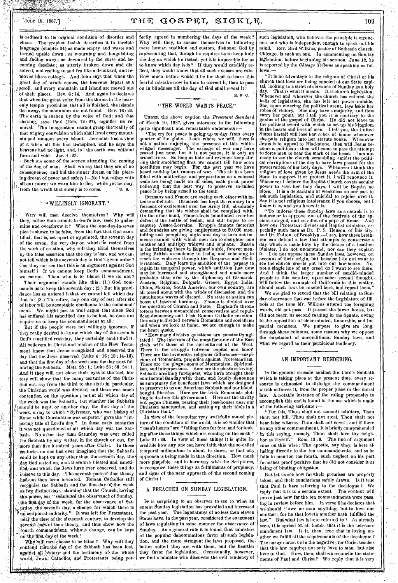**ACTES AND THE** 

 $10\%$  15, 1887.] The  $\text{TDHE}$   $\text{GOSPEL}$   $\text{SICKLE}$ . The  $109$ 

is reduced to its original condition of disorder and chaos. The prophet Isaiah describes it in forcible language (chapter 24) as made empty and waste and tinned upside down ; as mourning and languishing and .fading away ; as devoured by the curse and becoming desolate ; as utterly broken down and dissolved, and reeling to and fro like a drunkard, and re moved like a cottage. And John says that when the great day of wrath comes, the heavens depart as a ,peroll, and every mountain and island are moved out Of their places., Rev. 6 : 14. And again he declares that when the great voice from the throne in the heavenly temple proclaims that all is finished, the islands flee away, the mountains are not found. Rev. 16 : 20. The earth is shaken by the voice of God; and that shaking, says Paul (Heb. 12:27), signifies its removal. The imagination cannot grasp the'reality of that mighty convulsion which shall level every mountain and unmoor every island. Jeremiah had a view of it when all this had transpired, and he says the heavens had no light, and, lo I the earth was without form and void. Jer.  $4:23$ .

Such are some of the scenes attending the coming of the Son of man. • Shall we say that they are of no consequence; and bid the sinner dream on his pleasing dream of peace and safety ?—No I but rasher with all our power we warn him to flec, while yet he may, from the wrath that surely is to come.  $U. 8.$ 

# • "WILLINGLY 'IGNORANT."

•

. •

WHY will men deceive themselves? Why will they, rather than submit to God's law, seek to undermine and oveuthrow it ? When the' one-day-in-seven plea is shown to be false, from the fact that God sane- ' tified, that is, set apart or appointed, the seventh day of the seven, the very day on which lie rested from the work of creation, why will they blind themselves by the false assertion that the day is lost, and we, cannot tell which is the seventh day in God's given order ? Can they not see that this is an argument against God himself ? If we cannot keep God's commandment, we cannot. Then who, is to 'blame if we do not ?

Their argument stands like this : (1.) God commands us to keep the seventh day ; (2.) But his provi- .denee has so ordered it that we cannot tell which day that is ;  $(3.)$  Therefore, any one day of rest after six of labor will be acceptable obedience to the command-' ment. We might just as well argue that since God has suffered his sanctified day to be lost, he does not require us to keep the commandment at all.

But if the people were not willingly ignorant, if they really desired to know which day of the seven is God's sanctified rest-day, they certainly could find it. All believers in Christ and readers of the New Testament know that Jesus recognized and observed the day that the Jews observed (Luke  $4:16$ ; 18:14-16), and that the first day of the week was the day next following the Sabbath. Matt. 28 : 1,; Luke 23 : 56; 24 :1. And if they will not close their eyes to the fact, history will show that for many centuries of the Christian era, say from the third to the sixth in particular, the Christian world was divided, and there was much contention on the question ; not at all which day of the week was the Sabbath, but whether the Sabbath should be kept, or another day, the first day of the !week, a day to which "Sylvester, who was bishop of - Rome while Constantine was emperor," gave the "imposing title of Lord's day." In those early centuries It was not questioned at all which day was the Sab-.bath. No other day than Saturday was ever called the Sabbath by any writer, in the church or out, for more than five hundred years after Christ. In those Centuries no one had ever imagined that the Sabbath could be kept on any other than the seventh "day, the day God rested on, and therefore blessed and sanctifled, and which the Jews have ever observed, and do observe to this day. The seventh-part-of-time theory -had mot, then ,been invented. Roman 'Catholics still recognize the Sabbath and the first day ot- the week as two distinct days, claiming that the Church, having ,the power, has " *sitbstituted* the observance of Sunday, the first day of the week, for the observance of Saturday, the seventh day, a change for which there is  $\mathbb{R}_{\geqslant 0}$  scriptural authority." It was left for Protestants, near the close of the sixteenth century, to develop the seventh-part-of-time theory, and thus show how the fourth commandment, without change, can be kept on the first day of the week !

ji<br>|}

men choose to be blind ? Why will they contend that the day of the Sabbath has been lost, against all history and the testimony of the whole world, Jews, Catholics, and Protestants being per-

fectly agreed in numbering the days of the week?<br>Why will they, to excuse themselves in following will they, to excuse themselves in following mere human tradition and custom, dishonor God by representing that, though he requires us to keep holy the day on which he rested, yet it is impossible for us to know which day it is ? If they would candidly reflect, they would know that all such excuses are vain. How much better would it be for them to learn this fearful mistake now in time to correct it, than to pass on in blindness till the day *of* God shall reveal it

R. F. C.

# "THE WORLD WANTS PEACE."

UNDER the above caption the *Protestant Standard*  f March 10, 1887, gives utterance to the following quite significant and remarkable statements

"The cry for peace is going up to-day from every quarter of the globe. Look where we will, there is not a nation enjoying the presence of this whitewinged messenger. The carnage of war may have ceased just now, but it is not peace ; it is only an armed truce. So long g as hate and revenge keep stir-<br>fires, we cannot tell how soon! ring their smoldering fires, we cannot tell how soon hostilities may begin. For the past year we have heard nothing but rumors of war. The air has been filled with mutterings, and preparations on a colossal scale are being made on all sides, each great power believing that the best way to, preserve so-called peace is by being armed to the teeth.

Germany and France are eyeing each other with intense solicitude. Bismarck has kept the country in a ferment of excitement over the Army Bill, absolutely demanding that his wishes shall be complied with. On the other hand, France feels humiliated over her defeat at the battle of Sedan, and still hopes to recapture Alsace-Lorraine. Krupp's famous factories and foundries are giving employment to 20,000 men, toiling and perspiring night and day to turn out immense cannon with which men are to slaughter one another and multiply widows and orphans. Russia is the irritating thorn in England's side, forever menacing British ascendency in India, and scheming to reach the wide sea through the Bosporus and Mediterranean. Italy, fears the ambition of the papacy to regain its temporal power, which ambition just now may be increased and strengthened and made more probable than ever by the diplomacy of Bismarck. Austria, Belgium, Bulgaria, Greece, Egypt, India, Chinn, Mexico, South America, our, own country, are all tossed about with the winds of discussion and the tumultuous waves of discord. No state or nation can boast of internal harinony. France is divided over the question•of Church and State. England's throne totters between monarchical conservatism and republican democracy and Irish Roman Catholic reaction. Germany is divided between Romanism and socialisin; and when we look at home, we see enough to make the heart quake.

"How many divisive questions are constantly agitated I The interests of the manufacturer of the East clash with those of the agriculturist of the West. There is the struggle between capital and labor. There are the inveterate religious differences—suspicions of Romanism, prejudice against Protestantism. There are the plague-spots of Mormonism, Spiritualism, and intemperance. Here are the pleasure-loving, Sabbath-breaking foreigners, who have brought their continental Sunday with them, and loudly denounce as sumptuary the beneficent laws which are designed to preserve to us our American Sabbath and our bloodbought liberties. Here are the Irish Romanists plotting to destroy this government. Here are the thrifty but pagan Chinese, rearing their joss-houses near our Christian sanctuaries, and setting up their idols in a Christian land.

In view of the foregoing very truthfully stated picture of the condition of the world, it is no wonder that men's hearts" are "failing them for fear, and for looking after those things which are coming on the earth." Luke 21 : 26. In view of these things it is quite incredible how any one can have faith that the so-called temporal millennium is about to dawn, or that any approach is being made in that direction. How much more plausible, and in harmony with the Scriptures, to recognize these things as fulfillments of prophecy, and signs of the near approach of the second coming of Christ I

### A PREACHER ON SUNDAY LEGISLATION.

IT is surprising to an observer to see to what an extent Sunday legislation has prevailed and increased the past year. The legislatures of no less then eleven States have, in the past year, considered the enactment of laws regulating in some manner the observance of Sunday. As a general rule it is found that ministers of the popular denominations favor all such legislation, and the more stringent the laws proposed, the: better suited they are with them, and the heartier they favor the legislation. Occasionally, however, we find a minister who discovers the evil tendency of such legislation, who believes the principle is erroneous, and who is independent enough to speak out his mind. Rev. Bird Wilkins,' pastor of Bethesda church, Chicago, is such an one. In commenting on Sunday legislation, before beginning his sermon, June 12, he is reported by the *Chicago Tribune* as speaking as fol $lows$ 

"It is no advantage to the religion of Christ or his church that laws are being enacted at our Stale capital, looking to a strict observance of Sunday as a holy day. That is what it means. It is church Whenever and wherever the church has entered the halls of legislation, she has left her power outside. She, upon entering the political arena, lays Aside her robes of victory. She may have a majority, and thus carry her point, but I tell you it is contrary to the genius of the gospel of Christ. He did not leave us the political sword with which to set up his kingdom , in the hearts and lives of men. I tell you, the United States herself will lose her robes of honor whenever she-puts religion into her statute books. Whenever Jesus is to appeal to Blackstone, then will Jesus be- • come a politician ; then will come to pass the attempt to force men to bear the mark of the beast. ' I am not ready to see the church scrambling amidst the political corruptions of the day to have laws passed for the preservation of her holy days. Whenever I think the religion of love giVen by Jesus needs the arm of the State to support it or protect it, I will renounce it. Whenever I believe the Baptist Church covets secular power to save her holy days, I will be Baptist no more. It is a declaration of weakness on our part to ask such legislation, and suicidal to rejoice over it. Say it is not religious intolerance if you choose, but I know it is, and you know it is.

"To indorse these Sunday laws as a church is to indorse or to approve one of the festivals of the ancient sun-god, and an edict of a pope of Rome. And how our Protestant divines and Baptist ministers, especially such men as Dr. P. S. Henson, of this city, and Dr. Fulton, of Brooklyn,—I say, how these breth-ren can defend a law that attempts to consecrate a day which is made holy by the decree of a heathen idolater, I do not understand, nor can they explain it. I do not oppose these Sunday laws, however, on ,account of their origin, but because I do not want to see the church creeds put into our law-books. No, not a single line of any creed do I want to see there, And I think, the larger number of candid-minded people in this country, upon sober second thought,. will follow the example of California in this matter, should such laws be enacted here,, and repeal them."

We are glad to record that the bill relating to Sunday observance that was before the Legislature of Illinois at the time Mr. Wilkins uttered the foregoing words, did not pass. It passed the lower house, but did not. reach its second reading in the Senate, owing to the opposition of clear-minded, honorable, and impartial members. We purpose to give ere long, through.these columns, some reasons why we oppose the enactment of unconditional Sunday laws, and what we regard as their pernicious tendency.

### AN IMPORTANT RENDERING.

Ix the general crusade against the Lord's Sabbath which is taking place at the present time, every resource is exhausted to dislodge the commandment which enforces it, from Its proper place in the moral law. A notable instance of the ruling propensity to accomplish this end is found in the use which is made of the following scripture :

"For this, Thou shalt not commit adultery, Thou shalt not kill, Thou shalt not steal, Thou shalt not bear false witness, Thou shalt not covet ; and if there be any other commandment, it is briefly comprehended in this saying, namely, Thou shalt love thy neighbor as thyself." Rom. 13:9. The line of argument runs on this wise : The apostle, say they, is here alluding directly to the ten commandments, and as he fails to mention the fourth, such neglect on his part furnishes proof positive that lie did- not consider it as being of binding obligation.

But let us see how far 'their premises are properly taken, and their conclusions safely drawn. Is it true that Paul is here referring to the decalogue ? We reply that it is to a certain extent. .The context will prove just how far the ten commandments were pass. ing in review before him. In verse 8 he declares that we should " owe no man anything, but to love one another; for he that loveth another hath fulfilled the  $law''$  But what law is here referred to ? As already But what law is here referred to ? As already seen, it is agreed on all hands that it is the ten-commandment law. Is it, then, true that in loving another we fulfill all the requirements of the decalogue ? The answer must be in the negative ; for Christ teaches that this law requires not only love to man, but also love to God. How, then, shall-we reconcile the state-. ments of Paul and Christ? We reply that it is very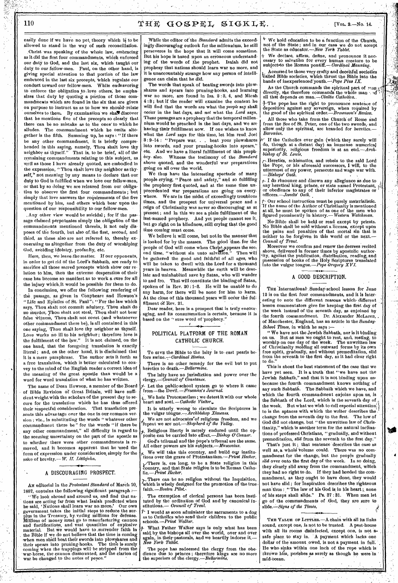a<sub>li</sub>

easily done if we have no pet, theory which is to be allowed to stand in the way of such reconciliation.

:Christ was speaking of the whole law, embracing as it did the first four commandments, which enforced our duty to God, and the last six, which taught our duty, to' our fellow-men. Paul, on the other hand, is giving special attention to that portion of the law embraced in the last six precepts, which regulate our conduct toward our fellow-men. While endeavoring to enforce the obligation to Jove others; he emphasizes that duty by quoting a portion of those commandments which are found in the six that are given on purpose to instruct us as to how we should relate ourselves to them. By examination we shall discover that he mentions five of the precepts so clearly that there can be no mistake as to. the ones' to which *he*  The commandment which he omits alto-. gether is the fifth. Summing up, he says : "If there be any other commandment, it is briefly comprehended in this saying, namely, Thou shalt love thy neighbor as thyself." That is, to be brief, all of the remaining commandments relating to this subject, as. well as those I have already quoted, are embodied in the expression, " Thou shalt love thy neighbor as thyself," not meaning by any means to declare that our duty to God is fulfilled when we love our fellow-men, or that by so doing we are released from our obligation to observe the first four commandments ; but simply that love answers the requirements of the five mentioned by him, and others which bear upon the question of our responsibility to our fellow-men.

, Any other view would be suicidal ; for if the passage claimed perpetuates simply the obligation of the commandments mentioned therein, it not only disposes of the fourth, but also of,the first, second, and third, as these also are not referred to, thereby exonerating us altogether from the duty of worshiping God, avoiding idolatry, profanity, etc.

Here, then, we leave-the matter. If our opponents, in order to get rid of the Lord's Sabbath, are ready to sacrifice all those sacred precepts which show our relation to him, then the extreme desperation of their case has become so manifest as to work a cure for all the injury which,it would be possible for them to do.

In conclusion, we offer the following rendering of the passage, as given in Conybeare and Howson's "Life and Epistles of St. Paul": "For the law which says, Thou shalt not commit adultery, Thou shalt do no murder, Thou shalt not steal, Thou shalt not bear false witness. Thou shalt not covet (and whatsoever other commandment there be), is all contained in this one saying, 'Thou shalt love thy neighbor as thyself. Love works no ill to his neighbor ; therefore love is the fulfillment of the law." It is not claimed, on the one hand, that the foregoing translation is exactly literal; and, on the other hand, it is disclaimed that it is a mere paraphrase. The author sets it forth as a free translation, which is better calculated to- convey to the mind of the English reader a correct idea of the meaning of the great apostle than would be a word for word translation of what he has written.

The name of Dean Howson, a member of the Board of Bible Revision of Great Britain, will have sufficient weight with the scholars of the present day to secure for the translation which he has thus offered their respectful consideration. That translation presents this advantage over the one in our common version ; viz., in substituting the words "whatever other commandment there be" for the words "if there be any other commandment," all difficulty in regard to the seeming uncertainty on the part of the apostle as to whether there were other commandments is removed, and it becomes apparent that he 'used the form of expression under consideration, simply for the sake,of brevity.— W. *II. Littlejohn.* 

## A DISCOURAGING PROSPECT.

AN editorial in the *Protestant Standard* of March 10, 1887, contains the following significant paragraph  $\sim$ 

"We look abroad and around us, and find that nations are acting far from what Isaiah predicted when he-said, 'Nations shall learn war no.more.' Our own government takes the initial steps to reduce the surplus in the Treasury, by.voting millions for defense. Millions of money must go to manufacturing cannon and 'fortifications, and vast quantities of explosive material. But we would have to ,surrender faith in - the Bible if we do not believe that the time is coming when men shall beat their swords into plowshares and their spears into pruning-hooks. The time is surely coining when the trappings will be stripped from the war-horse, the cannon dismounted, and the clarion of ' war.be changed to the notes of peace." •

While the editor of the *Standard* admits the exceedingly discouraging outlook for the millennium, he still perseveres in the hope that it will come sometime. But his hope is based upon an erroneous understanding of the words of the prophet. Isaiah did not prophesy that nations should learn war no more, and it is unaccountably strange how any person of intelligence can claim that he did.

The words that speak of beating swords into plowshares and spears into pruning-hooks, and learning war no more, are found in Isa. 2 : 3, 4, and Micah 4 :3 ; but if the reader will examine the context he will find that the words are what the *people* say shall occur in the last days, and *not* what the *Lord* says. These passages are a prophecy that the temporal millennium would be preached in the last days, and we are having their fulfillment now. If one wishes to know what the *Lord* says for this time, let him read, Joel 3 : 9-14 : "Prepare war. . . beat your plowshares into swords, and your pruning-hooks into spears," etc. And we have a literal fulfillment of this proph-<br>ecy. also. Witness the testimony of the Standard Witness the testimony of the *Standard* above quoted, and the wonderful war preparations going on all over the world.

We thus have the interesting spectacle of many people crying, "Peace and safety," and so fulfilling the prophecy first quoted, and at the same time unprecedented war preparations are going on everywhere. We are in the midst of exceedingly troublous times, and the prospect for universal peace and n reign of Christianity was never so discouraging as at present ; and in this we see a plain fulfillment of the last-named prophecy. And yet people cannot see it, but go right on in blindness, still crying that the good time coming must come.

We believe it will come, but not in the manner that is looked for by the masses. The good time, for the people of God will come when Christ appears the sec. ond time, "without sin unto salvation." Then will be gathered the good and faithful of all ages, who will be taken to dwell with the Lord for a thousand years in heaven. Meanwhile the earth will be desolate and uninhabited save by Satan, who will wander to and fro. That will constitute the binding of Satan, spoken of in Rev. 20 :1-3. He will be unable to do any harm, for there will be none for him to harm. At the close of this thousand years will occur the fulfillment of Rev. 21.

Dear reader, here is a prospect that is truly encouraging, and its consummation is certain, because it is based on the " sure word of prophecy."

## POLITICAL PLATFORM OF THE ROMAN CATHOLIC CHURCH.

To GIVE the Bible to the laity is to east pearls before swine. $-$ *Cardinal Hosius.* 

There is no other remedy for the evil but to put heretics to *death.—Bellarmine.* 

The laity have no jurisdiction and power over the *clergy.—Vouncil of Constance.* 

*/-* Let the public-school system go to where it came from—the Devil. *—Freeman's Journal.* 

We hate Protestantism ; we detest it with our whole heart and soul. *—Catholic Visitor,.*  It is utterly wrong to circulate the Scriptures in

the vulgar *tongue.—Archbishop X6nenes.*  We are not advocates'of *religious* freedom, and we

repeat we are' *not—Shepherd of the Valley.*  Religious liberty is merely endured until the op-

posite can be carried into effect.—Bishop O'Conner God's tribunal and the pope's tribunal are the same. MI other powers are his *subjects.—MUscovius.* 

We will take this country, and build ow institu-tions over the grave of Protestantism.—Priest *Hecker.*   $\mathcal V$ There is, ere long, to be a State religion in this country, and that State religion is to be Roman Catholic.—Priest *Hecker.* 

There can be no religion without the Inquisition, which is wisely designed for the promotion of the true *faith.—Boston Pilot..* 

The exemption of clerical persons has been instituted by the ordination of God and by canonical institutions.— *Council of Trent.* 

I would as soon administer the sacraments to a dog as to Catholics who send their children to the public schools. *—Priest Walker.* 

What Father Walker says is only what has been<br>id by the bishops all over the world, over and over said by the bishops all over the world, again,, in theirpastorals, end we heartily indorse it. *—*  $\bm{\mathit{New}}$  *York Tablet.* 

The pope has redeemed the clergy from the obedience due to princes ; therefore kings are no more the superiors of the *clergy.—Bellarmine.* 

 $^+$  We hold education to be a function of the Church, not of the State; and in our case we do not accept , the State as educator.—New *York Tablet.* 

+ We declare, affirm, define, and pronounce it nec-essary to salvatibn for every human creature to be subject•to the Roman pontiff.— *Cardinal Manning.* 

AccurSed be those very crafty and deeeitfUl societies realled Bible societies, which thrust the Bible into the hands of inexperienced youth.-Pope Pius IX.

As the Church commands the spiritual part of  $\max$ directly, she therefore commands the whole man and all that depends on *man.—Civilta Catholica..* 

The pope has the right to pronounce sentence of deposition against any sovereign, when required by the good of the spiritual *order.—Brocanson's' Review.* 

All those who take from the Church of Rome and from the See of St. Peter, one of the two swords, and allow only the spiritual, are branded for heretics.— *Baronius.* 

 $r$  If the Catholics ever gain (which they surely will do, though at a distant day) an immense numerical superiority, religious freedom is at an *end.—Arch-bishop of St. Louts.* 

Heretics, schisinatics, and rebels to the said Lord the -Pope, or his aforesaid successors, I will, to the uttermost of my power, persecute and wage war with. *—Bishops' Oath.* 

*1--* I do renounce and disown *any* allegiance as due to any heretical king, prince, or state named Protestant, or obedience to any of their inferior magistrates or officers. *—Jesuits' Oath.* 

Our school instruction must be purely materialistic. if the name of the Author of Christianity is mentioned at all, he must be spoken of as one of the men who figured prominently in history.—Western *Watchman.* 

No Bible shall be held or read except by priests. No Bible shall be sold without a license, except upon the pains and penalties of that mortal sin that is neither to .be forgiven in this world or the next.— *Council of Trent.* 

Moreover we confirm and renew the decrees recited above, delivered in former times by apostolic author-<br>ity, agaińst the publication, distribution, reading, and Vossession of books of the Holy Scriptures translated into the vulgar tongue.—Pope *Gregory XVL* 

#### • A GOOD DESCRIPTION.

THE International Sunday-school lesson for June 12 is on the first four commandments, and it Is esting to note the different reasons which different lesson commentators give for keeping the first day of the week instead of the seventh day, as enjoined by the fourth commandment. Dr. Alexander McLaren, of Manchester, England, has an article in the *Sunday-*School Times, in which he says :-

"We have not the Jewish Sabbath, nor is it binding on us. But as men we ought to rest, and, resting, to worship on one day of- the week. The unwritten law of Christianity molding all outward forms by its own free spirit, gradually, and without premeditation, slid from the seventh to the first day, as it had clear right to do."

This is about the best statement of the case that we have yet seen. It is a truth 'that "we have not the Jewish Sabbath," and that it is not binding upon us, because the fourth commandment knows nothing of any such Sabbath. The Sabbath which we have, and which the fourth commandment enjoins upon us, is the Sabbath of the Lord, which is the seventh day of the week. But what we wish to call especial attention to is the, aptness with which the writer describes the change from the seventh day to the first. The law of God did not change, but "the unwritten law of Christianity," which is another term for the natural inclinations of professed Christians, " gradually, and without premeditation, *slid* from the seventh to the first day." That's just it ; that sentence describes the case as

well as, a whole volume could. There was no commandment for the change, but the people gradually *did* over onto the first day of 'the week. In so doing, they clearly slid away from the commandment, which they had no right to do. If they had heeded the commandment, as they ought to have done, they would not have slid ; for 'Inspiration describes the righteous man'thus : "The law of his God is in his heart; none of his steps shall slide." Ps. 37 : 31. When men let go of the commandments of ,God, they are sure to slide.--Signs of the Times.

THE VALUE OF LITTLES. - A chain with all its links sound, except one, is not to be trusted. A pest-house with all its rooms disinfected, except one, is not asafe place to stay in. A payment which lacks one dollar of the amount owed, is not a payment in full. He who sinks within one inch of the rope which is thrown him, perishes as surely as though he were in mid-ocean.

,*416,* 

'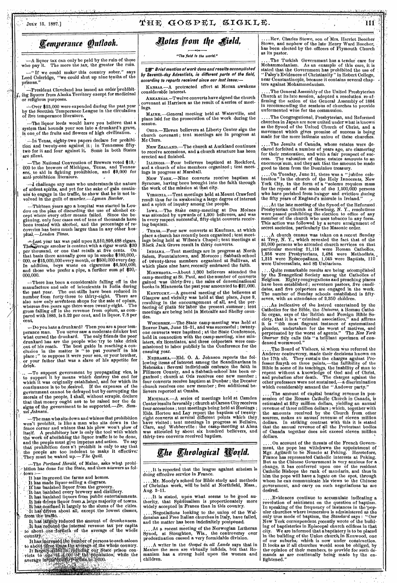# $\text{Juk}$  15, 1887.] **COSPEL GOSPEL SIGKLE.** 111

 $-\Lambda$  liquor tax can only be paid by the ruin of those who pay it. The more the tax, the greater the ruin.

—" If we could make' this country sober," says Lord Coleridge, "We could shut up nine tenths of the prisons."

President Cleveland has issued an order prohibiting liquors from Alaska Territory except for medicinal or religious purposes.

.----Over \$15,000 were expended during the past year by the Scottish Temperance League in the circulation of live temperance literature.

—The, liquor lords would have you believe that a • system that hounds your son into a drunkard's grave, is one,of the fruits and flowers of high civilization. ,

Texas, eighty-two papers declare for prohibition and twenty-one against it ; in Tennessee fiftytwo for it and four against it. Some in both States are silent.

—The National Convention of Brewers voted \$13,- 000 to, the brewers of Michigan, Texas, and Tonnes-sce,. to aid in fighting prohibition, and \$9,000 for anti-prohibition literature.

challenge any man who understands the nature of ardent spirits, and yet for the sake of gain continues to, engage in the traffic, to show that he is not in- . volved in the guilt of murder.—Lyman *Beecher.* 

=Thirteen. Years ago a hospital was started in Lon-don on the plan of discarding the use of alcohol ex-cept where every other Means failed. Since the beginning, 'only four cases out of tens of thousands have been treated with alcohol, and the percentage of recoveries has been much larger than in any other hospital.-London Times.

Last year tax was paid upou 3,510,898,488 cigars. The Serage smoker is content with a cigar worth \$30 per thousand, or one that retails at five cents. On that basis there annually goes up in smoke \$180,000,- 000, or \$15,000,000 every month, or \$500,000 every day. In addition, boys waste on cigarettes \$6,500,000, and those who prefer a pipe, a further sum of \$20,-000,000. .

=There has, been a considerable falling off in the manufacture and sale of intoxicants in India during the past year. The out-stills have been reduced in number from forty-three to thirty-eight. There are also now only sevdnteen shops for the sale of opium, . whereas-live .years ago there-were twenty-eight, - The gross falling off in the revenue from opium, as compared with 1885, Is 5.22 per cent, and in liquor, 7.8 per cent,

you hate a drunkard? Then you are a poor tem-<br>perance man. You uever saw a moderate drinker but<br>what cursed the drunkard. The only friends the poor drunkard has are the people who try to take drink out of his reach. The best guide in reaching a conclusion in the matter is "to put yourself in his place ;" to suppose it were your son, or your brother, or your father that was a slave of his appetite for drink.

• — —To support government by propagating vice, is • to support it by means which destroy the end for which it was originally established, and for which its continuance is to be desired. If the expenses of the government cannot be defrayed but by corrupting the morals, of the people, I shall, without scruple, declare that that money ought not to be raised nor the de signs of the government to be supported.—Dr. *Samuel Johnson,* 

---The —The man who sits down and whines that prohibition won't prohibit, is like a man who sits down in the fence corner and whines that his plow won't plow of itself. A prohibitory law is only the tool with which the work of abolishing the liquor traffic is to *be* done, and the people must give impetus and action. To say that prohibition does n't prohibit is only to say that the people are too indolent to make it effective: They must beswaked up.— *71he Quill.* 

.--The *Portland Herald,* of Maine, asks what prohi- .r bition has done for the State, and then answers as fol-

- 
- 
- 
- lows it has improved,the farms and homes. It has made liquor-selling a disgrace. it' has 'banished liquor from the grocery. it-has, banished every brewery and distillery. -It hag:banished liquors from public entertainments.

It has driven liquor from a large majority of towns. It has confined it largely to the slums of the cities.

It has driven about all, except the lowest classes, from the trafic.

It has largely reduced the amount of drunkenness. It has largely reduced the amount of drunkenness.<br>
It has reduced the internal revenue tax per capita<br>
•• to' about-.one•fortleth of the average of the whole<br>
••country

It has increased the number of persons to each saloon to about three times the average of the whole country.<br>It forgely dided in sequely our State-prison convicts to sone in scope of the population, while the average in the sound in the second second second.

; Av..04Arlak.X•its',A":,,P4fxr,' •

"The field is the world." as its pastor.

**THE Brief mention of work done and results accomplished** by Seventh-day Adventists, in different parts of the field, according to reports received since our last issue:—

KANSAS.—A protracted effort at Moran awakens considerable interest.

ARKANSAS. - Twelve converts have signed the church covenant at Harrison as the result of a series of meetings.

MAINE.--General meeting held at Waterville, and plans laid for the prosecution of the work during the season.

Onto.—Eleven believers at Liberty Center sign the church covenant; tent meetings are in progress at

Mc Clure.<br>• NEW ZEALAND.—The church at Auckland continues to receive accessions, and a church structure has been erected and finished.

Imumns.—Four believers baptized at Rockford, and a church of nine members organized ; tent meetings in progress at Marshall.

NEW YORK.—Nine converts receive baptism at Syracuse, having been brought into the faith through the work of the mission at that city.

VIRGINIA.--Tent meetings held at Mount Crawford result thus far in awakening a large degree of interest and a spirit of inquiry among the people.

Iowa.—The State camp-meeting at Des Moines<br>was attended by upwards of 1,200 believers, and was<br>in every respect successful, fifty-eight couverts receiving baptism.

TEXAS.—Four new converts at Kaufman, at which place a church has recently been organized ; tent meetings being held at Wilson's Chapel ; tent meetings at Black Jack Grove result in thirty converts.

INDIANA.—Tent meetings are in progress at North Salem, Fountaintown, and Morocco ; Sabbath-school of- twenty-three members organized at Sullivan, at which place nine have. recently embraced the faith.

MINNEBOTA.—About .1,000 believers attended the camp-meeting at St. Paul, and the number of converts gained 'was thirty-five ; the sales of denominational books in Minnesota the past year amounted to \$21,000.

KENTUCKY.—A general meeting of the believers at Glasgow and vicinity was held at that place, June 9, resulting in the encouragement of all, and, the perfecting of plans for labor the present summer; tent meetings are being held in Metcalfe and Shelby counties.

WISCONSIN.—The State camp-meeting was held at Beaver Dam, June 15-21, and was successful ; twentyone converts were baptized ; at the State Conference, held in connection with the camp-meeting, nine ministers, six licentiates,' and three colporters were com-missioned to labor publicly in the Conference for the ensuing year.

NEBRASKA.—Eld. O. A. Johnson reports the fol-<br>lowing items of interest among the Scandinavians in Nebraska : Several individuals embrace the faith in Fillmore County, and a Sabbath-school has been organized ; church at Otis receives one new member ; four converts receive haptism at Dunbar; the Decatur church receives one new member ; five additional believers reported at Omaha.

 $M$ ICHIGAN.— $\Lambda$  series of meetings held at Camden Center iesuits favorably ; church at Carson City receives four.accessions ; tent meetings being held at Hastings ; Elds. Horton and Lay report the baptism of twentyeight converts at several different points which they 'have visited ; tent meetings in progress at Bellaire, Clare, and Webberville ; the camp-meeting at Alma was attended by about six hundred believers, and thirty-two converts received baptism.

# **The Theological World.**

. It is reported that the league against atheism is *doing* effective *service* in France.

.Mr. Moody's school for Bible study and methods of Christian work, will be held at Northfield, Mass., Aug. 2-11.

....It is stated, upon what seems to be good authority, that Spiritualism is proportionately more widely accepted in France than in this country.

....Negotiations looking to the, *union* of the Wal-densian and Free Italian churches in Italy, have failed, and the matter has been indefinitely postponed.

...At a recent meeting of the Norwegian Lutheran Synod, at Stoughton, Wis., the controversy over predestination caused a very formidable division.

....A writer in the *Gospel in all Lands* says that in Mexico the men are virtually infidels, but that Romanism has a strong hold upon the women and children.

*Cemperance Quilook. Photes from the field.* Stowe, Charles Stowe, son of Mrs. Harriet Beecher has been elected by the. officers of Plymouth Church

> The Turkish Government has a tender care for Mohammedanism. As an example of this care, it is stated that the Government has prohibited the use of "Paley's Evidences of Christianity" in Robert College, near Constantinople, because it contains several chapters against Mohammedanism. •

. The General Assembly of the United Presbyterian Church at its late session, adopted a resolution, re-af-firming the action of the General Assembly of 1884 in recommending the sessions of churches to provide unfermented wine for the communion.

.The Congregational, Presbyterian, and Reformed churches in Japan are now united under what is known as the Syuod of the United Church of Christ, and a movement which gives promise of success is being made for the more 'intimate union of these churches.

..The Jesuits of Canada, whose estates were declared forfeited a number of years ago, are clamoring for their restoration, and with a fair prospect of suc-cess. The valuation of these estates amounts to an enormous sum, and they ask that the amount be made good to them from the Dominion treasury.

....On Tuesday, June 21, there was a " jubilee celebration" in the church of the Holy Innocents, New York City, in the form of a "solemu requiem mass for the repose of the souls of the 1,500,000 persons who have perished from hunger and evictiou during the fifty years of England's misrule in Ireland."

. At the late meeting of the Synod of the Reformed Presbyterian Church at Newburg, N. Y., resolutions were passed prohibiting the election to office of any member of the church who uses tobacco in any form. This action was followed by a severe arraignment of secret societies, particularly the Masonic order.

A church census was taken on a recent Sunday at Troy, N. Y., which revealed the fact that of the .30,000 persons who attended church services on that particular morning 21,116 were Roman Catholics, 1,956 were Presbyterians, 1,484 were Methodists, 1,215 were Episcopalians, 1,045 were Baptists, 110 were Universalists, and 85 Unitarians.

Quite remarkable results are being accomplished by the Evangelical Society among the Catholics of Belgium. Eighty congregations and preaching places have been established; seventeen pastors, five candidates, and five colporters are engaged in the work. The number of Sunday schools established is fiftyseven, with an attendance of 2,350 children.

....As indicative of the hatred entertained by the Catholics for the Bible, the *Universe*, a Roman Catholic lie organ, says of the 'British and Foreign Bible Society, that it is a "criminal association," and affirms it is "the most flagrant instance of systematized plunder, undertaken for the worst of motives, and -perpetuated by the worst of agents." The *New York Observer* fitly calls this "a brilliant specimen of condensed wormwood."

....The Board of Visitors, to whom was referred the Andover controversy, made their decisions known on the 17th ult. They sustain the charges against Professor.Smyth on three points,—the fallibility of the Bible in some of its teachings, the inability of man to repent without a kuowledge of God and of Christ, and probation after death, The charges against the other professors were not sustained,—a discrimination which considerably amazed the "Andover party."

....The amount of capital bearing revenue in possession of the Roman Catholic Church in Canada, is estimated at fifty million dollars, yielding an annual revenue of three million dollars ; which, together with the amounts received by the Church from other sources, makes an annual revenue of eleven million dollars. In striking contrast with this it is stated that the annual revenue of all the Protestant bodies of Canada together does not exceed eleven million dollars.

....On account of the threats of the French Government, the pope has Withdrawn the appointment of Mgr. Agilardi to be Nuncio at Peking. Heretofore, France has represented Catholic interests at Peking. But as the Chinese Government is very anxious for a change, it has conferred upon one of the resident Catholic Bishops the rank of mandarin, and thus in him the pope will have a legate on the spot, through whom he can communicate his views to the Chinese government, and carry on such negotiations as are desired.

.Evidences continue to accumulate indicating a revolution of sentiment on the question of baptism. In speaking of the frequency of instances in the 'popular churches where immersion is administered at the only true mode of baptism, the *Standard* says : " Our New 'York correspondent recently wrote of the building of baptisteries in Episcopal church edifices. in that city. We are informed that a baptistery is to be placed in the building.of the Union church. in Kenwood, one of our suburbs; which is now under construction. It looks as if all churches would soon be obliged, by the- opinion of their members, to provide for such de-mands as are continually being made by the enlightened."